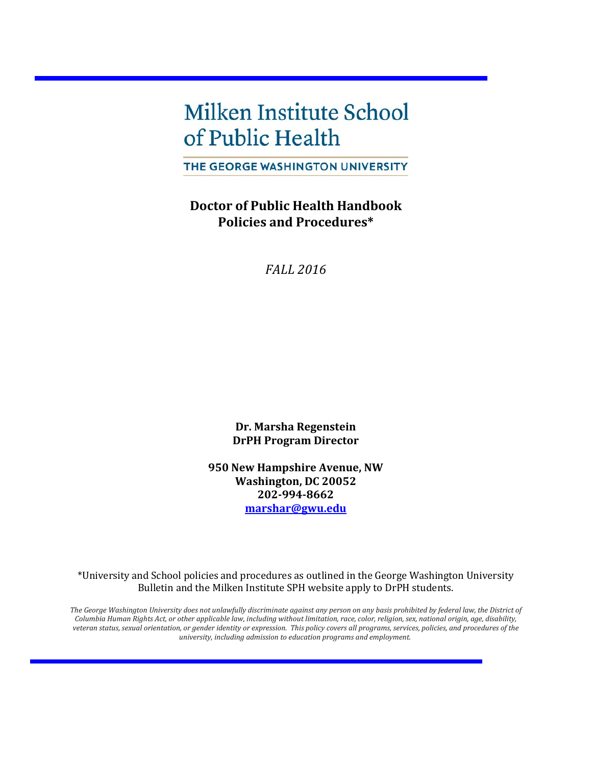# **Milken Institute School** of Public Health

THE GEORGE WASHINGTON UNIVERSITY

**Doctor of Public Health Handbook Policies and Procedures\***

*FALL 2016*

**Dr. Marsha Regenstein DrPH Program Director**

**950 New Hampshire Avenue, NW Washington, DC 20052 202-994-8662 [marshar@gwu.edu](mailto:marsha.regenstein@gwumc.edu)**

\*University and School policies and procedures as outlined in the George Washington University Bulletin and the Milken Institute SPH website apply to DrPH students.

*The George Washington University does not unlawfully discriminate against any person on any basis prohibited by federal law, the District of Columbia Human Rights Act, or other applicable law, including without limitation, race, color, religion, sex, national origin, age, disability, veteran status, sexual orientation, or gender identity or expression. This policy covers all programs, services, policies, and procedures of the university, including admission to education programs and employment.*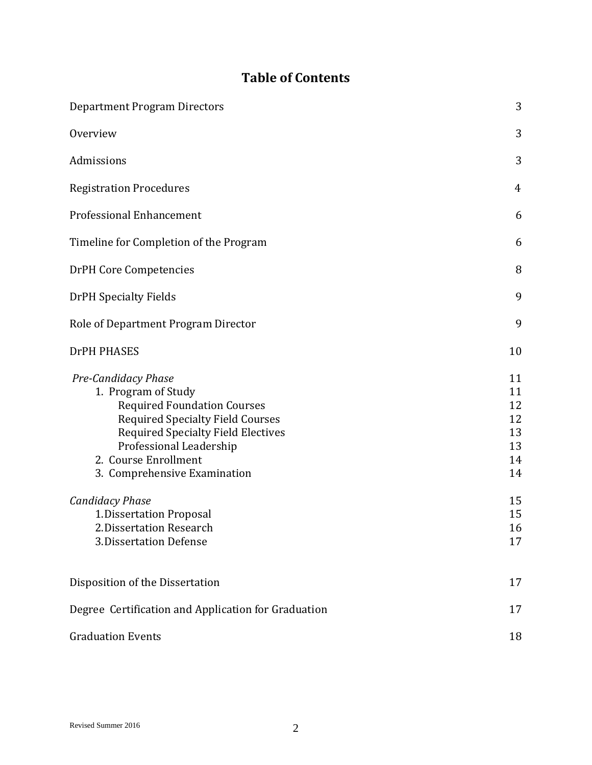# **Table of Contents**

| <b>Department Program Directors</b>                                                                                                                                                                                                                                                                                                                                      | 3                                                                    |
|--------------------------------------------------------------------------------------------------------------------------------------------------------------------------------------------------------------------------------------------------------------------------------------------------------------------------------------------------------------------------|----------------------------------------------------------------------|
| Overview                                                                                                                                                                                                                                                                                                                                                                 | 3                                                                    |
| Admissions                                                                                                                                                                                                                                                                                                                                                               | 3                                                                    |
| <b>Registration Procedures</b>                                                                                                                                                                                                                                                                                                                                           | 4                                                                    |
| <b>Professional Enhancement</b>                                                                                                                                                                                                                                                                                                                                          | 6                                                                    |
| Timeline for Completion of the Program                                                                                                                                                                                                                                                                                                                                   | 6                                                                    |
| <b>DrPH Core Competencies</b>                                                                                                                                                                                                                                                                                                                                            | 8                                                                    |
| <b>DrPH Specialty Fields</b>                                                                                                                                                                                                                                                                                                                                             | 9                                                                    |
| Role of Department Program Director                                                                                                                                                                                                                                                                                                                                      | 9                                                                    |
| <b>DrPH PHASES</b>                                                                                                                                                                                                                                                                                                                                                       | 10                                                                   |
| Pre-Candidacy Phase<br>1. Program of Study<br><b>Required Foundation Courses</b><br><b>Required Specialty Field Courses</b><br><b>Required Specialty Field Electives</b><br>Professional Leadership<br>2. Course Enrollment<br>3. Comprehensive Examination<br><b>Candidacy Phase</b><br>1. Dissertation Proposal<br>2. Dissertation Research<br>3. Dissertation Defense | 11<br>11<br>12<br>12<br>13<br>13<br>14<br>14<br>15<br>15<br>16<br>17 |
| Disposition of the Dissertation                                                                                                                                                                                                                                                                                                                                          | 17                                                                   |
| Degree Certification and Application for Graduation                                                                                                                                                                                                                                                                                                                      | 17                                                                   |
| <b>Graduation Events</b>                                                                                                                                                                                                                                                                                                                                                 | 18                                                                   |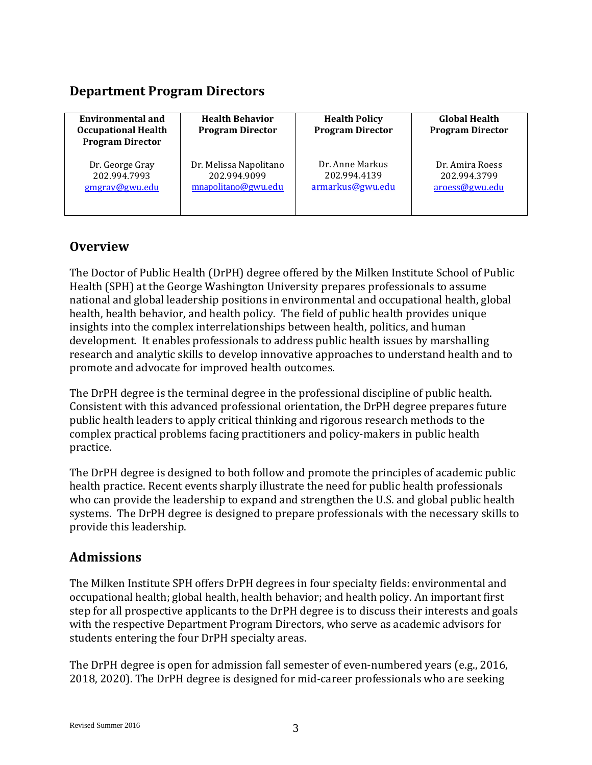# **Department Program Directors**

| <b>Environmental and</b><br><b>Occupational Health</b><br><b>Program Director</b> | <b>Health Behavior</b><br><b>Program Director</b> | <b>Health Policy</b><br><b>Program Director</b> | <b>Global Health</b><br><b>Program Director</b> |
|-----------------------------------------------------------------------------------|---------------------------------------------------|-------------------------------------------------|-------------------------------------------------|
| Dr. George Gray                                                                   | Dr. Melissa Napolitano                            | Dr. Anne Markus                                 | Dr. Amira Roess                                 |
| 202.994.7993                                                                      | 202.994.9099                                      | 202.994.4139                                    | 202.994.3799                                    |
| gmgray@gwu.edu                                                                    | mnapolitano@gwu.edu                               | armarkus@gwu.edu                                | aroess@gwu.edu                                  |

# **Overview**

The Doctor of Public Health (DrPH) degree offered by the Milken Institute School of Public Health (SPH) at the George Washington University prepares professionals to assume national and global leadership positions in environmental and occupational health, global health, health behavior, and health policy. The field of public health provides unique insights into the complex interrelationships between health, politics, and human development. It enables professionals to address public health issues by marshalling research and analytic skills to develop innovative approaches to understand health and to promote and advocate for improved health outcomes.

The DrPH degree is the terminal degree in the professional discipline of public health. Consistent with this advanced professional orientation, the DrPH degree prepares future public health leaders to apply critical thinking and rigorous research methods to the complex practical problems facing practitioners and policy-makers in public health practice.

The DrPH degree is designed to both follow and promote the principles of academic public health practice. Recent events sharply illustrate the need for public health professionals who can provide the leadership to expand and strengthen the U.S. and global public health systems. The DrPH degree is designed to prepare professionals with the necessary skills to provide this leadership.

# **Admissions**

The Milken Institute SPH offers DrPH degrees in four specialty fields: environmental and occupational health; global health, health behavior; and health policy. An important first step for all prospective applicants to the DrPH degree is to discuss their interests and goals with the respective Department Program Directors, who serve as academic advisors for students entering the four DrPH specialty areas.

The DrPH degree is open for admission fall semester of even-numbered years (e.g., 2016, 2018, 2020). The DrPH degree is designed for mid-career professionals who are seeking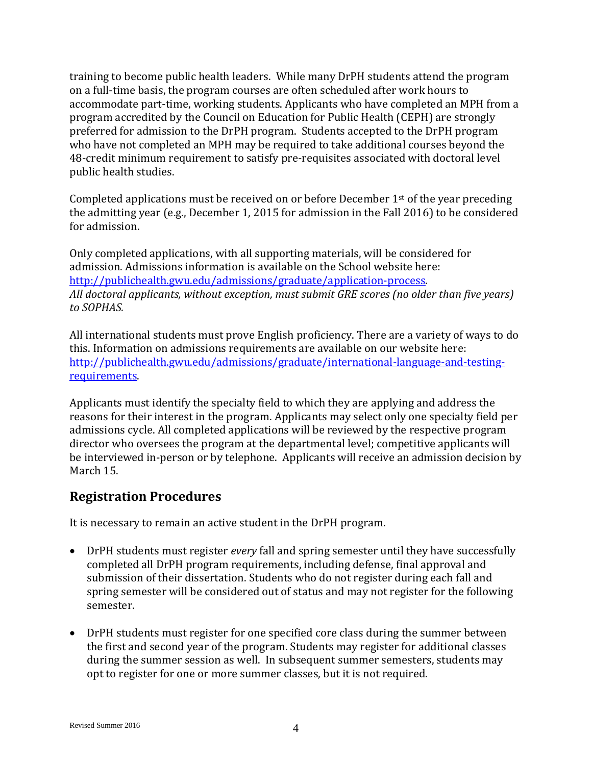training to become public health leaders. While many DrPH students attend the program on a full-time basis, the program courses are often scheduled after work hours to accommodate part-time, working students. Applicants who have completed an MPH from a program accredited by the Council on Education for Public Health (CEPH) are strongly preferred for admission to the DrPH program. Students accepted to the DrPH program who have not completed an MPH may be required to take additional courses beyond the 48-credit minimum requirement to satisfy pre-requisites associated with doctoral level public health studies.

Completed applications must be received on or before December  $1<sup>st</sup>$  of the year preceding the admitting year (e.g., December 1, 2015 for admission in the Fall 2016) to be considered for admission.

Only completed applications, with all supporting materials, will be considered for admission. Admissions information is available on the School website here: [http://publichealth.gwu.edu/admissions/graduate/application-process.](http://publichealth.gwu.edu/admissions/graduate/application-process) *All doctoral applicants, without exception, must submit GRE scores (no older than five years) to SOPHAS.*

All international students must prove English proficiency. There are a variety of ways to do this. Information on admissions requirements are available on our website here: [http://publichealth.gwu.edu/admissions/graduate/international-language-and-testing](http://publichealth.gwu.edu/admissions/graduate/international-language-and-testing-requirements)[requirements.](http://publichealth.gwu.edu/admissions/graduate/international-language-and-testing-requirements)

Applicants must identify the specialty field to which they are applying and address the reasons for their interest in the program. Applicants may select only one specialty field per admissions cycle. All completed applications will be reviewed by the respective program director who oversees the program at the departmental level; competitive applicants will be interviewed in-person or by telephone. Applicants will receive an admission decision by March 15.

# **Registration Procedures**

It is necessary to remain an active student in the DrPH program.

- DrPH students must register *every* fall and spring semester until they have successfully completed all DrPH program requirements, including defense, final approval and submission of their dissertation. Students who do not register during each fall and spring semester will be considered out of status and may not register for the following semester.
- DrPH students must register for one specified core class during the summer between the first and second year of the program. Students may register for additional classes during the summer session as well. In subsequent summer semesters, students may opt to register for one or more summer classes, but it is not required.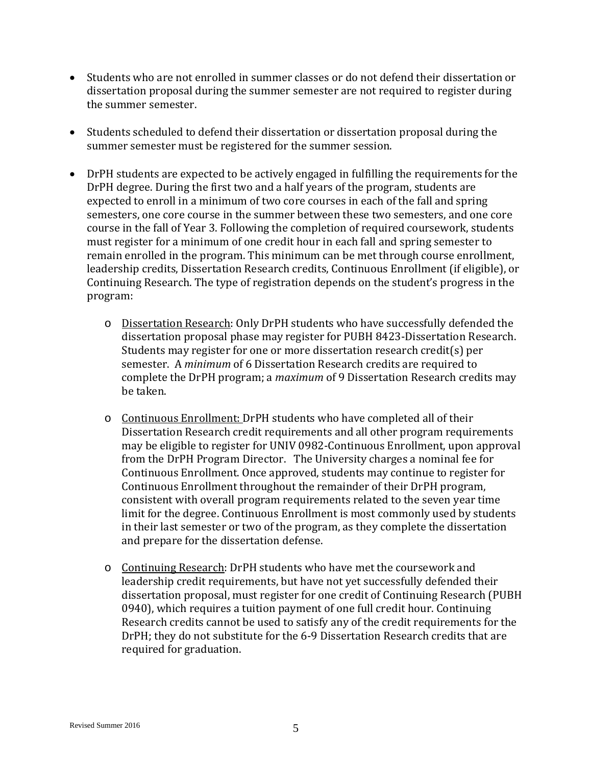- Students who are not enrolled in summer classes or do not defend their dissertation or dissertation proposal during the summer semester are not required to register during the summer semester.
- Students scheduled to defend their dissertation or dissertation proposal during the summer semester must be registered for the summer session.
- DrPH students are expected to be actively engaged in fulfilling the requirements for the DrPH degree. During the first two and a half years of the program, students are expected to enroll in a minimum of two core courses in each of the fall and spring semesters, one core course in the summer between these two semesters, and one core course in the fall of Year 3. Following the completion of required coursework, students must register for a minimum of one credit hour in each fall and spring semester to remain enrolled in the program. This minimum can be met through course enrollment, leadership credits, Dissertation Research credits, Continuous Enrollment (if eligible), or Continuing Research. The type of registration depends on the student's progress in the program:
	- o Dissertation Research: Only DrPH students who have successfully defended the dissertation proposal phase may register for PUBH 8423-Dissertation Research. Students may register for one or more dissertation research credit(s) per semester. A *minimum* of 6 Dissertation Research credits are required to complete the DrPH program; a *maximum* of 9 Dissertation Research credits may be taken.
	- o Continuous Enrollment: DrPH students who have completed all of their Dissertation Research credit requirements and all other program requirements may be eligible to register for UNIV 0982-Continuous Enrollment, upon approval from the DrPH Program Director. The University charges a nominal fee for Continuous Enrollment. Once approved, students may continue to register for Continuous Enrollment throughout the remainder of their DrPH program, consistent with overall program requirements related to the seven year time limit for the degree. Continuous Enrollment is most commonly used by students in their last semester or two of the program, as they complete the dissertation and prepare for the dissertation defense.
	- o Continuing Research: DrPH students who have met the coursework and leadership credit requirements, but have not yet successfully defended their dissertation proposal, must register for one credit of Continuing Research (PUBH 0940), which requires a tuition payment of one full credit hour. Continuing Research credits cannot be used to satisfy any of the credit requirements for the DrPH; they do not substitute for the 6-9 Dissertation Research credits that are required for graduation.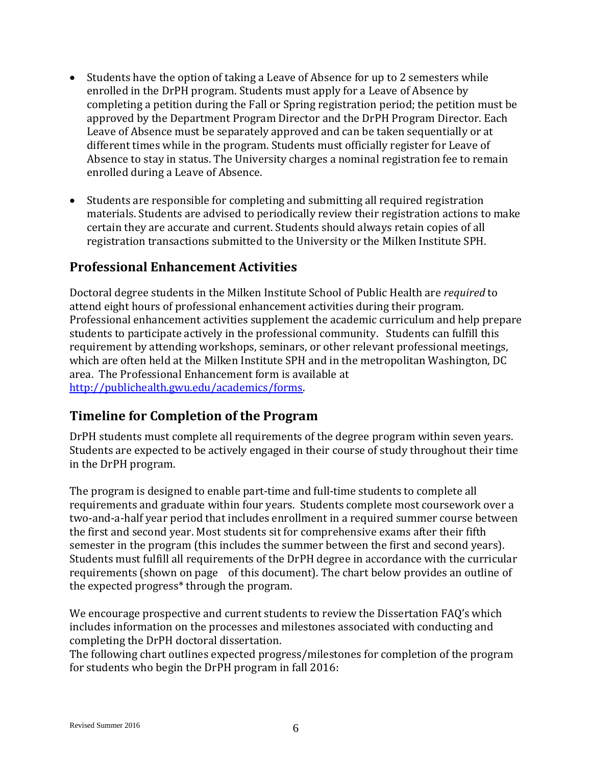- Students have the option of taking a Leave of Absence for up to 2 semesters while enrolled in the DrPH program. Students must apply for a Leave of Absence by completing a petition during the Fall or Spring registration period; the petition must be approved by the Department Program Director and the DrPH Program Director. Each Leave of Absence must be separately approved and can be taken sequentially or at different times while in the program. Students must officially register for Leave of Absence to stay in status. The University charges a nominal registration fee to remain enrolled during a Leave of Absence.
- Students are responsible for completing and submitting all required registration materials. Students are advised to periodically review their registration actions to make certain they are accurate and current. Students should always retain copies of all registration transactions submitted to the University or the Milken Institute SPH.

# **Professional Enhancement Activities**

Doctoral degree students in the Milken Institute School of Public Health are *required* to attend eight hours of professional enhancement activities during their program. Professional enhancement activities supplement the academic curriculum and help prepare students to participate actively in the professional community. Students can fulfill this requirement by attending workshops, seminars, or other relevant professional meetings, which are often held at the Milken Institute SPH and in the metropolitan Washington, DC area. The Professional Enhancement form is available at [http://publichealth.gwu.edu/academics/forms.](http://publichealth.gwu.edu/academics/forms)

# **Timeline for Completion of the Program**

DrPH students must complete all requirements of the degree program within seven years. Students are expected to be actively engaged in their course of study throughout their time in the DrPH program.

The program is designed to enable part-time and full-time students to complete all requirements and graduate within four years. Students complete most coursework over a two-and-a-half year period that includes enrollment in a required summer course between the first and second year. Most students sit for comprehensive exams after their fifth semester in the program (this includes the summer between the first and second years). Students must fulfill all requirements of the DrPH degree in accordance with the curricular requirements (shown on page of this document). The chart below provides an outline of the expected progress\* through the program.

We encourage prospective and current students to review the Dissertation FAQ's which includes information on the processes and milestones associated with conducting and completing the DrPH doctoral dissertation.

The following chart outlines expected progress/milestones for completion of the program for students who begin the DrPH program in fall 2016: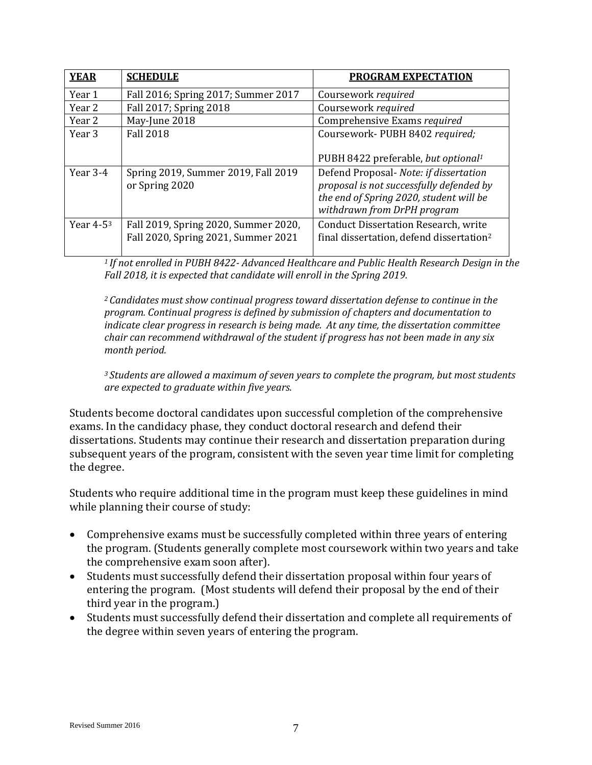| <b>YEAR</b>  | <b>SCHEDULE</b>                                                             | <b>PROGRAM EXPECTATION</b>                                                                                                                                   |
|--------------|-----------------------------------------------------------------------------|--------------------------------------------------------------------------------------------------------------------------------------------------------------|
| Year 1       | Fall 2016; Spring 2017; Summer 2017                                         | Coursework required                                                                                                                                          |
| Year 2       | Fall 2017; Spring 2018                                                      | Coursework required                                                                                                                                          |
| Year 2       | May-June 2018                                                               | Comprehensive Exams required                                                                                                                                 |
| Year 3       | <b>Fall 2018</b>                                                            | Coursework- PUBH 8402 required;                                                                                                                              |
|              |                                                                             | PUBH 8422 preferable, but optional <sup>1</sup>                                                                                                              |
| Year 3-4     | Spring 2019, Summer 2019, Fall 2019<br>or Spring 2020                       | Defend Proposal- Note: if dissertation<br>proposal is not successfully defended by<br>the end of Spring 2020, student will be<br>withdrawn from DrPH program |
| Year $4-5^3$ | Fall 2019, Spring 2020, Summer 2020,<br>Fall 2020, Spring 2021, Summer 2021 | <b>Conduct Dissertation Research, write</b><br>final dissertation, defend dissertation <sup>2</sup>                                                          |

*1 If not enrolled in PUBH 8422- Advanced Healthcare and Public Health Research Design in the Fall 2018, it is expected that candidate will enroll in the Spring 2019.*

*2 Candidates must show continual progress toward dissertation defense to continue in the program. Continual progress is defined by submission of chapters and documentation to indicate clear progress in research is being made. At any time, the dissertation committee chair can recommend withdrawal of the student if progress has not been made in any six month period.*

*3 Students are allowed a maximum of seven years to complete the program, but most students are expected to graduate within five years.* 

Students become doctoral candidates upon successful completion of the comprehensive exams. In the candidacy phase, they conduct doctoral research and defend their dissertations. Students may continue their research and dissertation preparation during subsequent years of the program, consistent with the seven year time limit for completing the degree.

Students who require additional time in the program must keep these guidelines in mind while planning their course of study:

- Comprehensive exams must be successfully completed within three years of entering the program. (Students generally complete most coursework within two years and take the comprehensive exam soon after).
- Students must successfully defend their dissertation proposal within four years of entering the program. (Most students will defend their proposal by the end of their third year in the program.)
- Students must successfully defend their dissertation and complete all requirements of the degree within seven years of entering the program.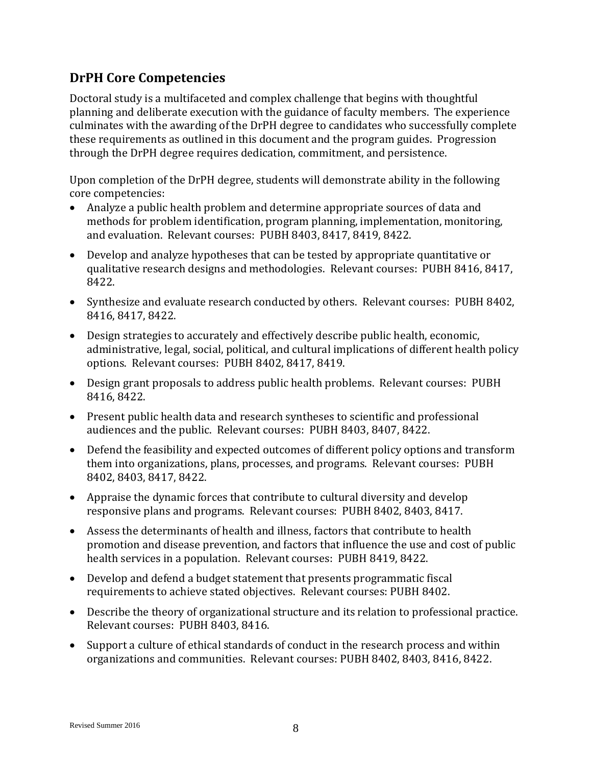# **DrPH Core Competencies**

Doctoral study is a multifaceted and complex challenge that begins with thoughtful planning and deliberate execution with the guidance of faculty members. The experience culminates with the awarding of the DrPH degree to candidates who successfully complete these requirements as outlined in this document and the program guides. Progression through the DrPH degree requires dedication, commitment, and persistence.

Upon completion of the DrPH degree, students will demonstrate ability in the following core competencies:

- Analyze a public health problem and determine appropriate sources of data and methods for problem identification, program planning, implementation, monitoring, and evaluation. Relevant courses: PUBH 8403, 8417, 8419, 8422.
- Develop and analyze hypotheses that can be tested by appropriate quantitative or qualitative research designs and methodologies. Relevant courses: PUBH 8416, 8417, 8422.
- Synthesize and evaluate research conducted by others. Relevant courses: PUBH 8402, 8416, 8417, 8422.
- Design strategies to accurately and effectively describe public health, economic, administrative, legal, social, political, and cultural implications of different health policy options. Relevant courses: PUBH 8402, 8417, 8419.
- Design grant proposals to address public health problems. Relevant courses: PUBH 8416, 8422.
- Present public health data and research syntheses to scientific and professional audiences and the public. Relevant courses: PUBH 8403, 8407, 8422.
- Defend the feasibility and expected outcomes of different policy options and transform them into organizations, plans, processes, and programs. Relevant courses: PUBH 8402, 8403, 8417, 8422.
- Appraise the dynamic forces that contribute to cultural diversity and develop responsive plans and programs. Relevant courses: PUBH 8402, 8403, 8417.
- Assess the determinants of health and illness, factors that contribute to health promotion and disease prevention, and factors that influence the use and cost of public health services in a population. Relevant courses: PUBH 8419, 8422.
- Develop and defend a budget statement that presents programmatic fiscal requirements to achieve stated objectives. Relevant courses: PUBH 8402.
- Describe the theory of organizational structure and its relation to professional practice. Relevant courses: PUBH 8403, 8416.
- Support a culture of ethical standards of conduct in the research process and within organizations and communities. Relevant courses: PUBH 8402, 8403, 8416, 8422.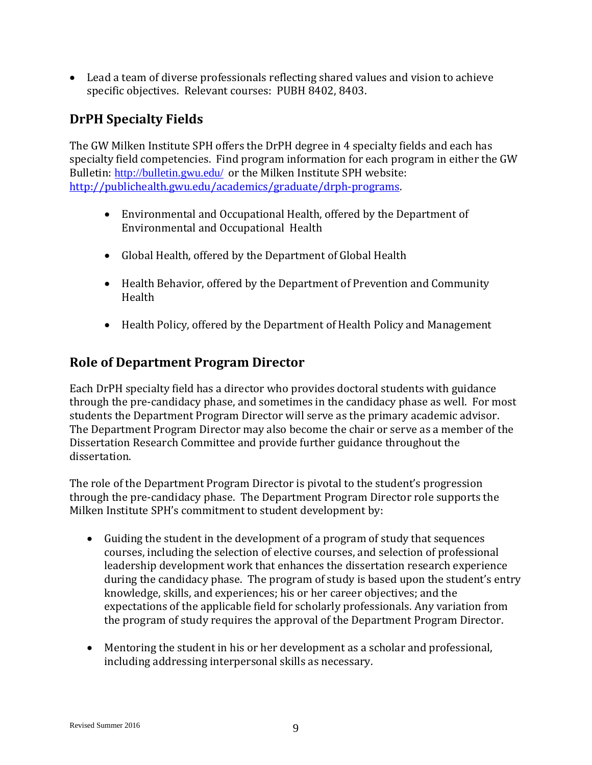• Lead a team of diverse professionals reflecting shared values and vision to achieve specific objectives. Relevant courses: PUBH 8402, 8403.

# **DrPH Specialty Fields**

The GW Milken Institute SPH offers the DrPH degree in 4 specialty fields and each has specialty field competencies. Find program information for each program in either the GW Bulletin: <http://bulletin.gwu.edu/> or the Milken Institute SPH website: [http://publichealth.gwu.edu/academics/graduate/drph-programs.](http://publichealth.gwu.edu/academics/graduate/drph-programs)

- Environmental and Occupational Health, offered by the Department of Environmental and Occupational Health
- Global Health, offered by the Department of Global Health
- Health Behavior, offered by the Department of Prevention and Community Health
- Health Policy, offered by the Department of Health Policy and Management

# **Role of Department Program Director**

Each DrPH specialty field has a director who provides doctoral students with guidance through the pre-candidacy phase, and sometimes in the candidacy phase as well. For most students the Department Program Director will serve as the primary academic advisor. The Department Program Director may also become the chair or serve as a member of the Dissertation Research Committee and provide further guidance throughout the dissertation.

The role of the Department Program Director is pivotal to the student's progression through the pre-candidacy phase. The Department Program Director role supports the Milken Institute SPH's commitment to student development by:

- Guiding the student in the development of a program of study that sequences courses, including the selection of elective courses, and selection of professional leadership development work that enhances the dissertation research experience during the candidacy phase. The program of study is based upon the student's entry knowledge, skills, and experiences; his or her career objectives; and the expectations of the applicable field for scholarly professionals. Any variation from the program of study requires the approval of the Department Program Director.
- Mentoring the student in his or her development as a scholar and professional, including addressing interpersonal skills as necessary.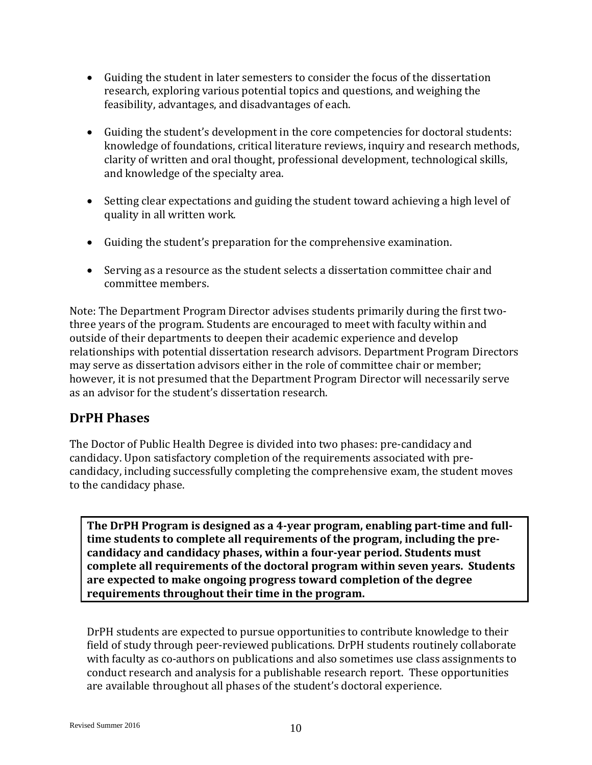- Guiding the student in later semesters to consider the focus of the dissertation research, exploring various potential topics and questions, and weighing the feasibility, advantages, and disadvantages of each.
- Guiding the student's development in the core competencies for doctoral students: knowledge of foundations, critical literature reviews, inquiry and research methods, clarity of written and oral thought, professional development, technological skills, and knowledge of the specialty area.
- Setting clear expectations and guiding the student toward achieving a high level of quality in all written work.
- Guiding the student's preparation for the comprehensive examination.
- Serving as a resource as the student selects a dissertation committee chair and committee members.

Note: The Department Program Director advises students primarily during the first twothree years of the program. Students are encouraged to meet with faculty within and outside of their departments to deepen their academic experience and develop relationships with potential dissertation research advisors. Department Program Directors may serve as dissertation advisors either in the role of committee chair or member; however, it is not presumed that the Department Program Director will necessarily serve as an advisor for the student's dissertation research.

# **DrPH Phases**

The Doctor of Public Health Degree is divided into two phases: pre-candidacy and candidacy. Upon satisfactory completion of the requirements associated with precandidacy, including successfully completing the comprehensive exam, the student moves to the candidacy phase.

**The DrPH Program is designed as a 4-year program, enabling part-time and fulltime students to complete all requirements of the program, including the precandidacy and candidacy phases, within a four-year period. Students must complete all requirements of the doctoral program within seven years. Students are expected to make ongoing progress toward completion of the degree requirements throughout their time in the program.** 

DrPH students are expected to pursue opportunities to contribute knowledge to their field of study through peer-reviewed publications. DrPH students routinely collaborate with faculty as co-authors on publications and also sometimes use class assignments to conduct research and analysis for a publishable research report. These opportunities are available throughout all phases of the student's doctoral experience.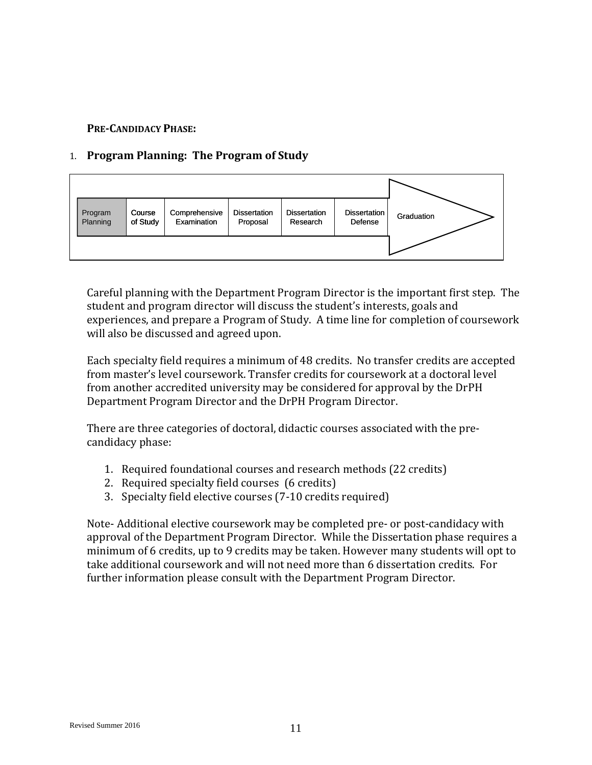#### **PRE-CANDIDACY PHASE:**

#### 1. **Program Planning: The Program of Study**



Careful planning with the Department Program Director is the important first step. The student and program director will discuss the student's interests, goals and experiences, and prepare a Program of Study. A time line for completion of coursework will also be discussed and agreed upon.

Each specialty field requires a minimum of 48 credits. No transfer credits are accepted from master's level coursework. Transfer credits for coursework at a doctoral level from another accredited university may be considered for approval by the DrPH Department Program Director and the DrPH Program Director.

There are three categories of doctoral, didactic courses associated with the precandidacy phase:

- 1. Required foundational courses and research methods (22 credits)
- 2. Required specialty field courses (6 credits)
- 3. Specialty field elective courses (7-10 credits required)

Note- Additional elective coursework may be completed pre- or post-candidacy with approval of the Department Program Director. While the Dissertation phase requires a minimum of 6 credits, up to 9 credits may be taken. However many students will opt to take additional coursework and will not need more than 6 dissertation credits. For further information please consult with the Department Program Director.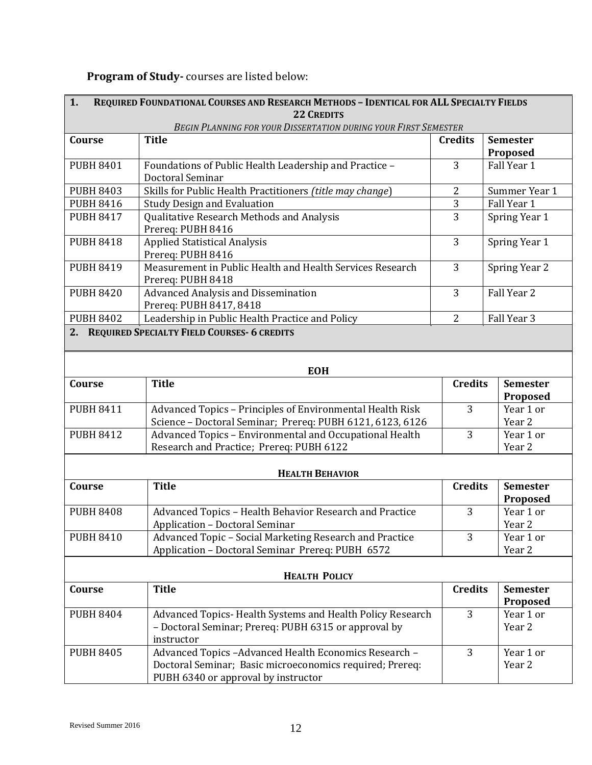# **Program of Study-** courses are listed below:

| 1.                                                              | REQUIRED FOUNDATIONAL COURSES AND RESEARCH METHODS - IDENTICAL FOR ALL SPECIALTY FIELDS<br><b>22 CREDITS</b> |                |                                               |  |
|-----------------------------------------------------------------|--------------------------------------------------------------------------------------------------------------|----------------|-----------------------------------------------|--|
| BEGIN PLANNING FOR YOUR DISSERTATION DURING YOUR FIRST SEMESTER |                                                                                                              |                |                                               |  |
| Course                                                          | <b>Title</b>                                                                                                 | <b>Credits</b> | <b>Semester</b>                               |  |
|                                                                 |                                                                                                              |                | Proposed                                      |  |
| <b>PUBH 8401</b>                                                | Foundations of Public Health Leadership and Practice -                                                       | 3              | Fall Year 1                                   |  |
|                                                                 | Doctoral Seminar                                                                                             |                |                                               |  |
| <b>PUBH 8403</b>                                                | Skills for Public Health Practitioners (title may change)                                                    | $\overline{2}$ | Summer Year 1                                 |  |
| <b>PUBH 8416</b>                                                | <b>Study Design and Evaluation</b>                                                                           | 3              | 3<br>Fall Year 1                              |  |
| <b>PUBH 8417</b>                                                | Qualitative Research Methods and Analysis<br>Prereq: PUBH 8416                                               |                | Spring Year 1                                 |  |
| <b>PUBH 8418</b>                                                | <b>Applied Statistical Analysis</b>                                                                          | 3              | Spring Year 1                                 |  |
|                                                                 | Prereq: PUBH 8416                                                                                            |                |                                               |  |
| <b>PUBH 8419</b>                                                | Measurement in Public Health and Health Services Research                                                    | 3              | Spring Year 2                                 |  |
|                                                                 | Prereq: PUBH 8418                                                                                            |                |                                               |  |
| <b>PUBH 8420</b>                                                | <b>Advanced Analysis and Dissemination</b>                                                                   | 3              | Fall Year 2                                   |  |
|                                                                 | Prereq: PUBH 8417, 8418                                                                                      |                |                                               |  |
| <b>PUBH 8402</b>                                                | Leadership in Public Health Practice and Policy                                                              | $\overline{2}$ | Fall Year 3                                   |  |
|                                                                 | 2. REQUIRED SPECIALTY FIELD COURSES-6 CREDITS                                                                |                |                                               |  |
|                                                                 |                                                                                                              |                |                                               |  |
| <b>EOH</b>                                                      |                                                                                                              |                |                                               |  |
| Course                                                          | <b>Title</b>                                                                                                 |                | <b>Credits</b><br><b>Semester</b><br>Proposed |  |
| <b>PUBH 8411</b>                                                | Advanced Topics - Principles of Environmental Health Risk                                                    | 3              | Year 1 or                                     |  |
|                                                                 | Science - Doctoral Seminar; Prereq: PUBH 6121, 6123, 6126                                                    |                | Year 2                                        |  |
| <b>PUBH 8412</b>                                                | Advanced Topics - Environmental and Occupational Health                                                      | 3              | Year 1 or                                     |  |
|                                                                 | Research and Practice; Prereq: PUBH 6122                                                                     |                | Year 2                                        |  |
| <b>HEALTH BEHAVIOR</b>                                          |                                                                                                              |                |                                               |  |
| <b>Title</b><br>Course                                          |                                                                                                              | <b>Credits</b> | <b>Semester</b>                               |  |
|                                                                 |                                                                                                              |                | Proposed                                      |  |
| <b>PUBH 8408</b>                                                | Advanced Topics - Health Behavior Research and Practice                                                      | 3              | Year 1 or                                     |  |
|                                                                 | Application - Doctoral Seminar                                                                               |                | Year 2                                        |  |
| <b>PUBH 8410</b>                                                | Advanced Topic - Social Marketing Research and Practice                                                      | 3              | Year 1 or                                     |  |
|                                                                 | Application - Doctoral Seminar Prereq: PUBH 6572                                                             |                | Year 2                                        |  |
| <b>HEALTH POLICY</b>                                            |                                                                                                              |                |                                               |  |
| Course                                                          | <b>Title</b>                                                                                                 | <b>Credits</b> | <b>Semester</b><br>Proposed                   |  |
| <b>PUBH 8404</b>                                                | Advanced Topics- Health Systems and Health Policy Research                                                   | 3              | Year 1 or                                     |  |
|                                                                 | - Doctoral Seminar; Prereq: PUBH 6315 or approval by<br>instructor                                           |                | Year 2                                        |  |
| <b>PUBH 8405</b>                                                | Advanced Topics -Advanced Health Economics Research -                                                        | 3              | Year 1 or                                     |  |
|                                                                 | Doctoral Seminar; Basic microeconomics required; Prereq:                                                     |                | Year 2                                        |  |
|                                                                 | PUBH 6340 or approval by instructor                                                                          |                |                                               |  |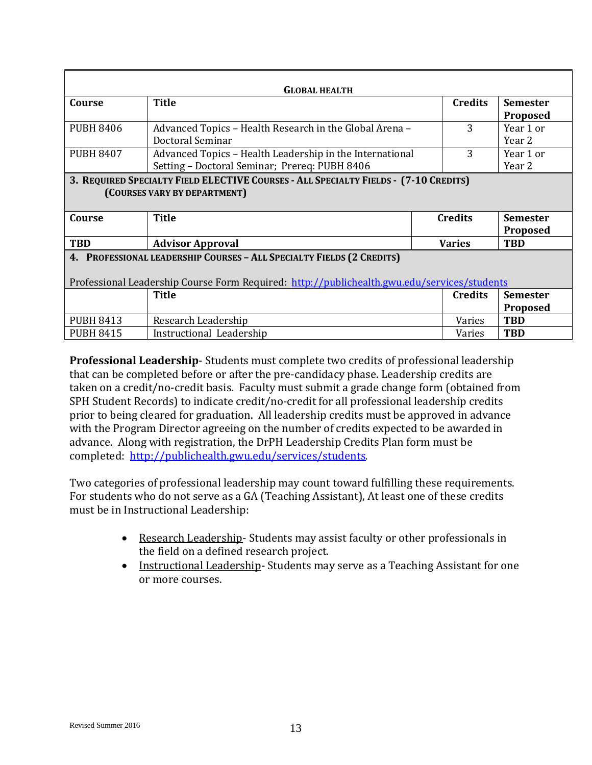| <b>GLOBAL HEALTH</b>                                                                                                                                                 |                                                                                                           |  |                |                             |
|----------------------------------------------------------------------------------------------------------------------------------------------------------------------|-----------------------------------------------------------------------------------------------------------|--|----------------|-----------------------------|
| Course                                                                                                                                                               | <b>Title</b>                                                                                              |  | <b>Credits</b> | <b>Semester</b><br>Proposed |
| <b>PUBH 8406</b>                                                                                                                                                     | Advanced Topics - Health Research in the Global Arena -<br>Doctoral Seminar                               |  | 3              | Year 1 or<br>Year 2         |
| <b>PUBH 8407</b>                                                                                                                                                     | Advanced Topics - Health Leadership in the International<br>Setting - Doctoral Seminar; Prereq: PUBH 8406 |  | 3              | Year 1 or<br>Year 2         |
| 3. REQUIRED SPECIALTY FIELD ELECTIVE COURSES - ALL SPECIALTY FIELDS - (7-10 CREDITS)<br>(COURSES VARY BY DEPARTMENT)                                                 |                                                                                                           |  |                |                             |
| Course                                                                                                                                                               | <b>Title</b>                                                                                              |  | <b>Credits</b> | <b>Semester</b><br>Proposed |
| <b>TBD</b>                                                                                                                                                           | <b>Advisor Approval</b>                                                                                   |  | <b>Varies</b>  | <b>TBD</b>                  |
| 4. PROFESSIONAL LEADERSHIP COURSES - ALL SPECIALTY FIELDS (2 CREDITS)<br>Professional Leadership Course Form Required: http://publichealth.gwu.edu/services/students |                                                                                                           |  |                |                             |
|                                                                                                                                                                      | <b>Title</b>                                                                                              |  | <b>Credits</b> | <b>Semester</b><br>Proposed |
| <b>PUBH 8413</b>                                                                                                                                                     | Research Leadership                                                                                       |  | Varies         | <b>TBD</b>                  |
| <b>PUBH 8415</b>                                                                                                                                                     | Instructional Leadership                                                                                  |  | Varies         | <b>TBD</b>                  |

**Professional Leadership**- Students must complete two credits of professional leadership that can be completed before or after the pre-candidacy phase. Leadership credits are taken on a credit/no-credit basis. Faculty must submit a grade change form (obtained from SPH Student Records) to indicate credit/no-credit for all professional leadership credits prior to being cleared for graduation. All leadership credits must be approved in advance with the Program Director agreeing on the number of credits expected to be awarded in advance. Along with registration, the DrPH Leadership Credits Plan form must be completed: [http://publichealth.gwu.edu/services/students.](http://publichealth.gwu.edu/services/students)

Two categories of professional leadership may count toward fulfilling these requirements. For students who do not serve as a GA (Teaching Assistant), At least one of these credits must be in Instructional Leadership:

- Research Leadership-Students may assist faculty or other professionals in the field on a defined research project.
- Instructional Leadership- Students may serve as a Teaching Assistant for one or more courses.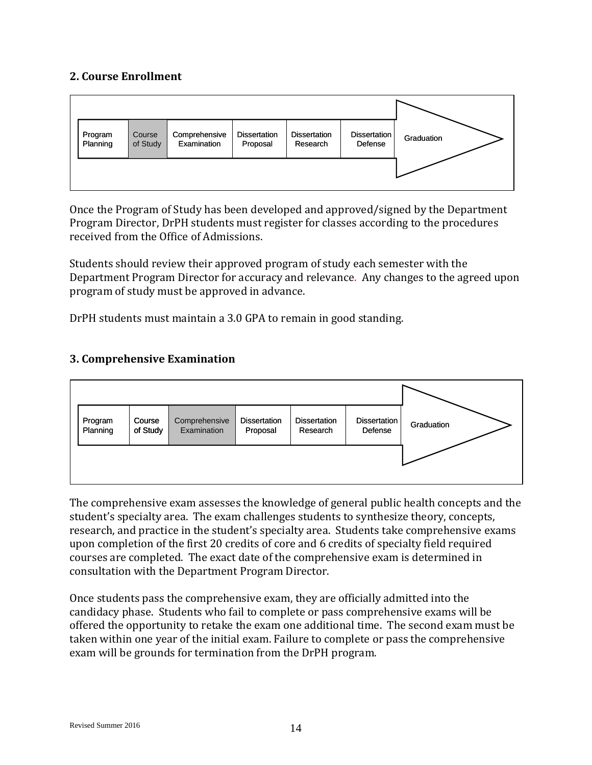#### **2. Course Enrollment**



Once the Program of Study has been developed and approved/signed by the Department Program Director, DrPH students must register for classes according to the procedures received from the Office of Admissions.

Students should review their approved program of study each semester with the Department Program Director for accuracy and relevance. Any changes to the agreed upon program of study must be approved in advance.

DrPH students must maintain a 3.0 GPA to remain in good standing.

### **3. Comprehensive Examination**



The comprehensive exam assesses the knowledge of general public health concepts and the student's specialty area. The exam challenges students to synthesize theory, concepts, research, and practice in the student's specialty area. Students take comprehensive exams upon completion of the first 20 credits of core and 6 credits of specialty field required courses are completed. The exact date of the comprehensive exam is determined in consultation with the Department Program Director.

Once students pass the comprehensive exam, they are officially admitted into the candidacy phase. Students who fail to complete or pass comprehensive exams will be offered the opportunity to retake the exam one additional time. The second exam must be taken within one year of the initial exam. Failure to complete or pass the comprehensive exam will be grounds for termination from the DrPH program.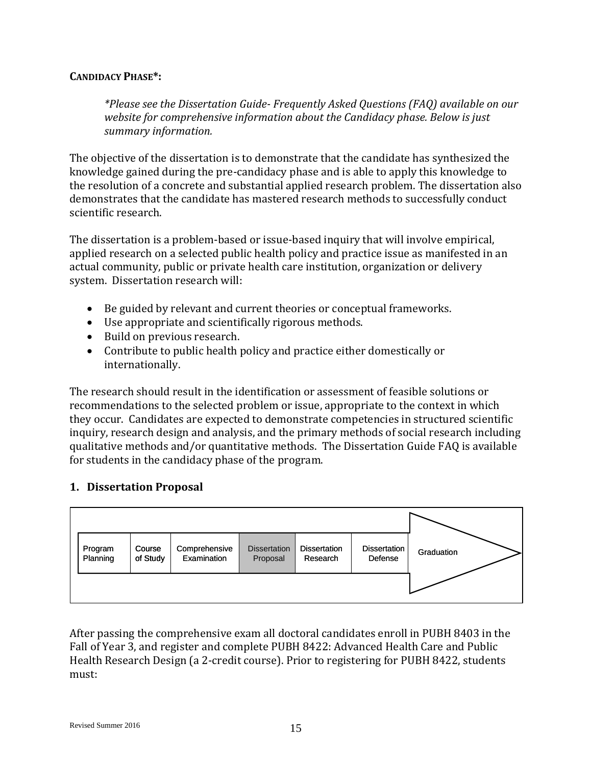#### **CANDIDACY PHASE\*:**

*\*Please see the Dissertation Guide- Frequently Asked Questions (FAQ) available on our website for comprehensive information about the Candidacy phase. Below is just summary information.* 

The objective of the dissertation is to demonstrate that the candidate has synthesized the knowledge gained during the pre-candidacy phase and is able to apply this knowledge to the resolution of a concrete and substantial applied research problem. The dissertation also demonstrates that the candidate has mastered research methods to successfully conduct scientific research.

The dissertation is a problem-based or issue-based inquiry that will involve empirical, applied research on a selected public health policy and practice issue as manifested in an actual community, public or private health care institution, organization or delivery system. Dissertation research will:

- Be guided by relevant and current theories or conceptual frameworks.
- Use appropriate and scientifically rigorous methods.
- Build on previous research.
- Contribute to public health policy and practice either domestically or internationally.

The research should result in the identification or assessment of feasible solutions or recommendations to the selected problem or issue, appropriate to the context in which they occur. Candidates are expected to demonstrate competencies in structured scientific inquiry, research design and analysis, and the primary methods of social research including qualitative methods and/or quantitative methods. The Dissertation Guide FAQ is available for students in the candidacy phase of the program.

#### **1. Dissertation Proposal**



After passing the comprehensive exam all doctoral candidates enroll in PUBH 8403 in the Fall of Year 3, and register and complete PUBH 8422: Advanced Health Care and Public Health Research Design (a 2-credit course). Prior to registering for PUBH 8422, students must: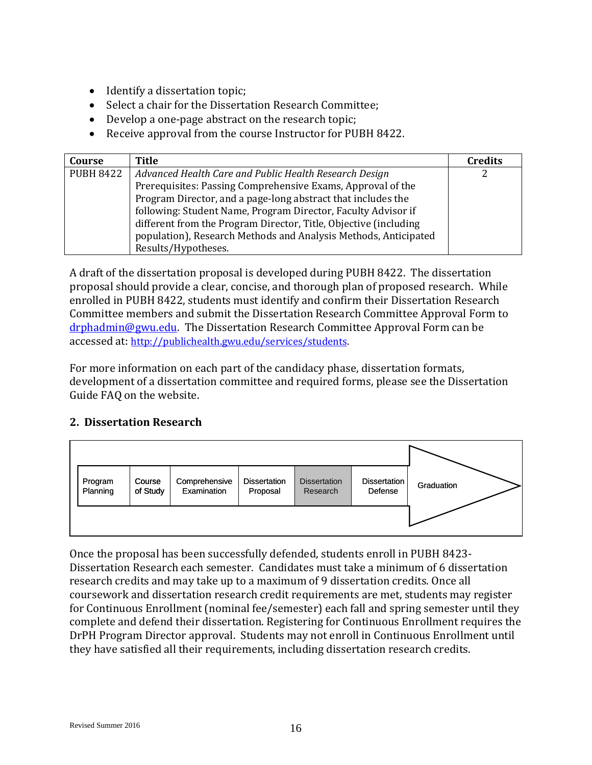- Identify a dissertation topic;
- Select a chair for the Dissertation Research Committee;
- Develop a one-page abstract on the research topic;
- Receive approval from the course Instructor for PUBH 8422.

| Course           | Title                                                            | <b>Credits</b> |
|------------------|------------------------------------------------------------------|----------------|
| <b>PUBH 8422</b> | Advanced Health Care and Public Health Research Design           | 2              |
|                  | Prerequisites: Passing Comprehensive Exams, Approval of the      |                |
|                  | Program Director, and a page-long abstract that includes the     |                |
|                  | following: Student Name, Program Director, Faculty Advisor if    |                |
|                  | different from the Program Director, Title, Objective (including |                |
|                  | population), Research Methods and Analysis Methods, Anticipated  |                |
|                  | Results/Hypotheses.                                              |                |

A draft of the dissertation proposal is developed during PUBH 8422. The dissertation proposal should provide a clear, concise, and thorough plan of proposed research. While enrolled in PUBH 8422, students must identify and confirm their Dissertation Research Committee members and submit the Dissertation Research Committee Approval Form to [drphadmin@gwu.edu.](mailto:drphadmin@gwu.edu) The Dissertation Research Committee Approval Form can be accessed at: [http://publichealth.gwu.edu/services/students.](http://publichealth.gwu.edu/services/students)

For more information on each part of the candidacy phase, dissertation formats, development of a dissertation committee and required forms, please see the Dissertation Guide FAQ on the website.

#### **2. Dissertation Research**



Once the proposal has been successfully defended, students enroll in PUBH 8423- Dissertation Research each semester. Candidates must take a minimum of 6 dissertation research credits and may take up to a maximum of 9 dissertation credits. Once all coursework and dissertation research credit requirements are met, students may register for Continuous Enrollment (nominal fee/semester) each fall and spring semester until they complete and defend their dissertation. Registering for Continuous Enrollment requires the DrPH Program Director approval. Students may not enroll in Continuous Enrollment until they have satisfied all their requirements, including dissertation research credits.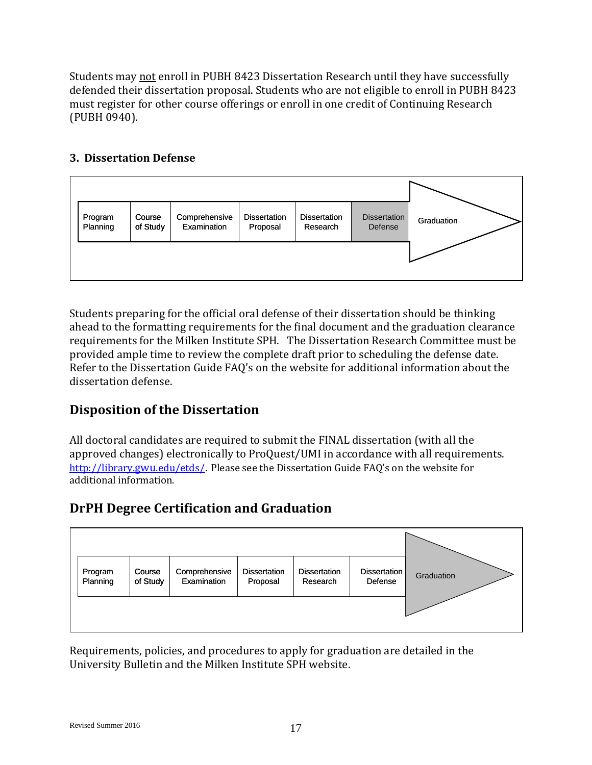Students may not enroll in PUBH 8423 Dissertation Research until they have successfully defended their dissertation proposal. Students who are not eligible to enroll in PUBH 8423 must register for other course offerings or enroll in one credit of Continuing Research (PUBH 0940).

### **3. Dissertation Defense**



Students preparing for the official oral defense of their dissertation should be thinking ahead to the formatting requirements for the final document and the graduation clearance requirements for the Milken Institute SPH. The Dissertation Research Committee must be provided ample time to review the complete draft prior to scheduling the defense date. Refer to the Dissertation Guide FAQ's on the website for additional information about the dissertation defense.

# **Disposition of the Dissertation**

All doctoral candidates are required to submit the FINAL dissertation (with all the approved changes) electronically to ProQuest/UMI in accordance with all requirements. <http://library.gwu.edu/etds/>. Please see the Dissertation Guide FAQ's on the website for additional information.

# **DrPH Degree Certification and Graduation**



Requirements, policies, and procedures to apply for graduation are detailed in the University Bulletin and the Milken Institute SPH website.